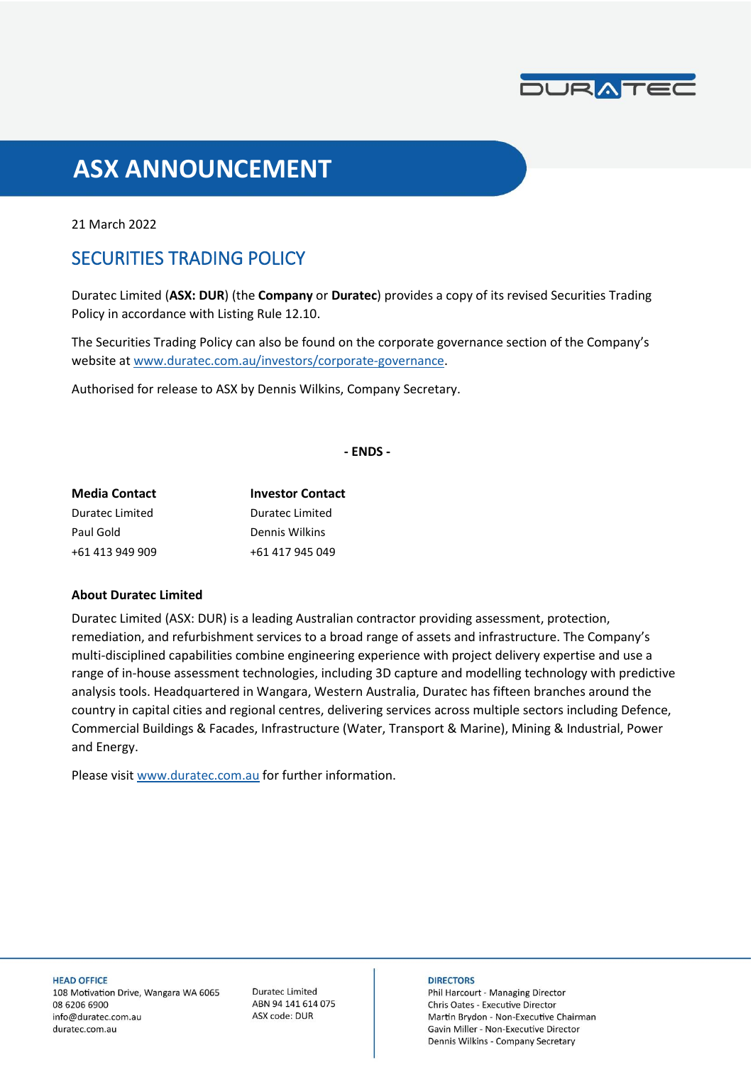

# **ASX ANNOUNCEMENT**

21 March 2022

## SECURITIES TRADING POLICY

Duratec Limited (**ASX: DUR**) (the **Company** or **Duratec**) provides a copy of its revised Securities Trading Policy in accordance with Listing Rule 12.10.

The Securities Trading Policy can also be found on the corporate governance section of the Company's website a[t www.duratec.com.au/investors/corporate-governance.](https://www.duratec.com.au/investors/corporate-governance/)

Authorised for release to ASX by Dennis Wilkins, Company Secretary.

**- ENDS -**

| <b>Media Contact</b> | <b>Investor Contact</b> |
|----------------------|-------------------------|
| Duratec Limited      | Duratec Limited         |
| Paul Gold            | Dennis Wilkins          |
| +61 413 949 909      | +61 417 945 049         |

#### **About Duratec Limited**

Duratec Limited (ASX: DUR) is a leading Australian contractor providing assessment, protection, remediation, and refurbishment services to a broad range of assets and infrastructure. The Company's multi-disciplined capabilities combine engineering experience with project delivery expertise and use a range of in-house assessment technologies, including 3D capture and modelling technology with predictive analysis tools. Headquartered in Wangara, Western Australia, Duratec has fifteen branches around the country in capital cities and regional centres, delivering services across multiple sectors including Defence, Commercial Buildings & Facades, Infrastructure (Water, Transport & Marine), Mining & Industrial, Power and Energy.

Please visit [www.duratec.com.au](http://www.duratec.com.au/) for further information.

**HEAD OFFICE** 

108 Motivation Drive, Wangara WA 6065 08 6206 6900 info@duratec.com.au duratec.com.au

**Duratec Limited** ABN 94 141 614 075 ASX code: DUR

#### **DIRECTORS**

Phil Harcourt - Managing Director Chris Oates - Executive Director Martin Brydon - Non-Executive Chairman Gavin Miller - Non-Executive Director Dennis Wilkins - Company Secretary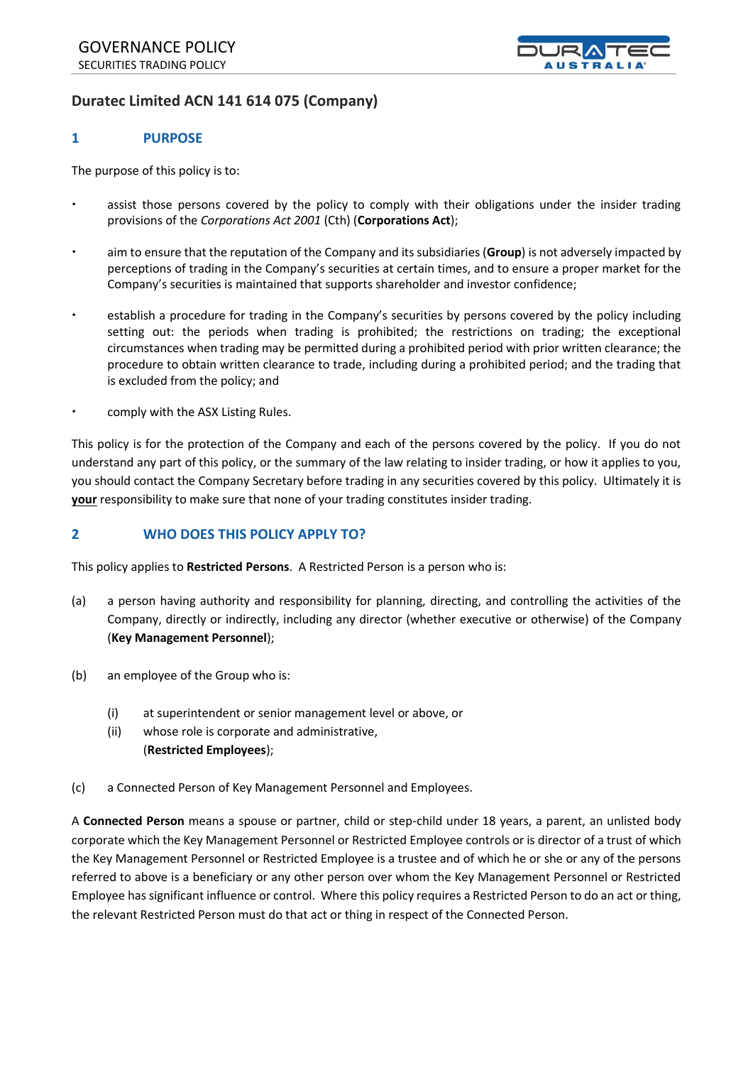

### **Duratec Limited ACN 141 614 075 (Company)**

#### **1 PURPOSE**

The purpose of this policy is to:

- assist those persons covered by the policy to comply with their obligations under the insider trading provisions of the *Corporations Act 2001* (Cth) (**Corporations Act**);
- aim to ensure that the reputation of the Company and its subsidiaries (**Group**) is not adversely impacted by perceptions of trading in the Company's securities at certain times, and to ensure a proper market for the Company's securities is maintained that supports shareholder and investor confidence;
- establish a procedure for trading in the Company's securities by persons covered by the policy including setting out: the periods when trading is prohibited; the restrictions on trading; the exceptional circumstances when trading may be permitted during a prohibited period with prior written clearance; the procedure to obtain written clearance to trade, including during a prohibited period; and the trading that is excluded from the policy; and
- comply with the ASX Listing Rules.

This policy is for the protection of the Company and each of the persons covered by the policy. If you do not understand any part of this policy, or the summary of the law relating to insider trading, or how it applies to you, you should contact the Company Secretary before trading in any securities covered by this policy. Ultimately it is **your** responsibility to make sure that none of your trading constitutes insider trading.

#### **2 WHO DOES THIS POLICY APPLY TO?**

This policy applies to **Restricted Persons**. A Restricted Person is a person who is:

- (a) a person having authority and responsibility for planning, directing, and controlling the activities of the Company, directly or indirectly, including any director (whether executive or otherwise) of the Company (**Key Management Personnel**);
- (b) an employee of the Group who is:
	- (i) at superintendent or senior management level or above, or
	- (ii) whose role is corporate and administrative, (**Restricted Employees**);
- (c) a Connected Person of Key Management Personnel and Employees.

A **Connected Person** means a spouse or partner, child or step-child under 18 years, a parent, an unlisted body corporate which the Key Management Personnel or Restricted Employee controls or is director of a trust of which the Key Management Personnel or Restricted Employee is a trustee and of which he or she or any of the persons referred to above is a beneficiary or any other person over whom the Key Management Personnel or Restricted Employee has significant influence or control. Where this policy requires a Restricted Person to do an act or thing, the relevant Restricted Person must do that act or thing in respect of the Connected Person.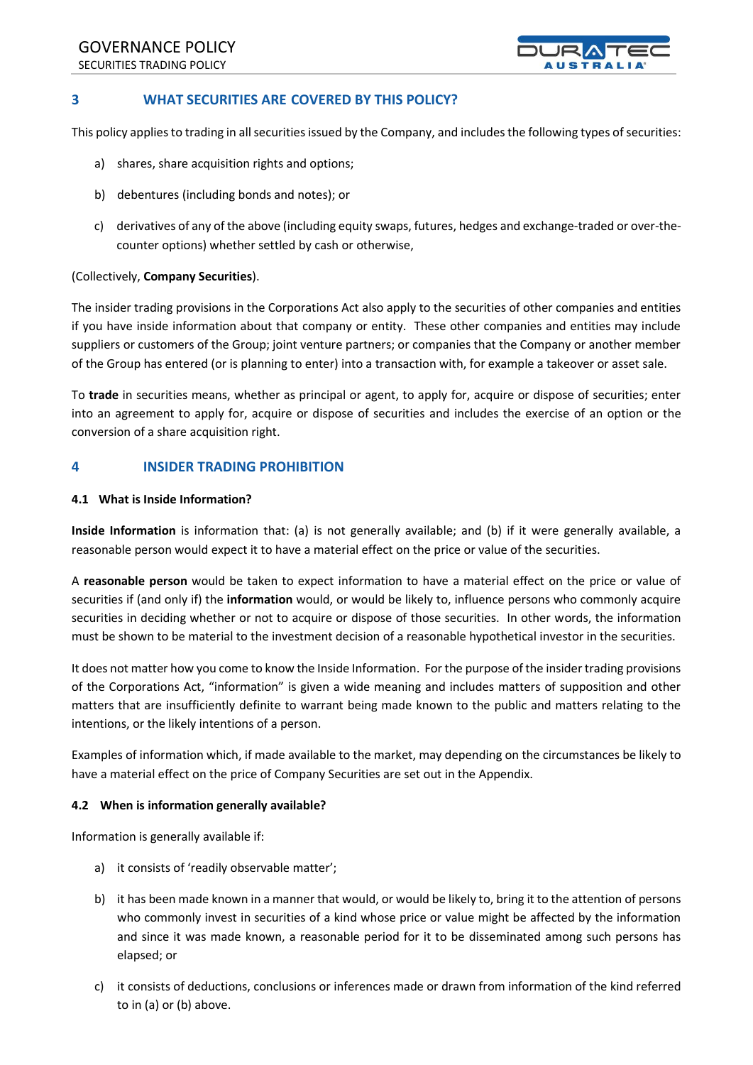GOVERNANCE POLICY SECURITIES TRADING POLICY



#### **3 WHAT SECURITIES ARE COVERED BY THIS POLICY?**

This policy applies to trading in all securities issued by the Company, and includes the following types of securities:

- a) shares, share acquisition rights and options;
- b) debentures (including bonds and notes); or
- c) derivatives of any of the above (including equity swaps, futures, hedges and exchange-traded or over-thecounter options) whether settled by cash or otherwise,

#### (Collectively, **Company Securities**).

The insider trading provisions in the Corporations Act also apply to the securities of other companies and entities if you have inside information about that company or entity. These other companies and entities may include suppliers or customers of the Group; joint venture partners; or companies that the Company or another member of the Group has entered (or is planning to enter) into a transaction with, for example a takeover or asset sale.

To **trade** in securities means, whether as principal or agent, to apply for, acquire or dispose of securities; enter into an agreement to apply for, acquire or dispose of securities and includes the exercise of an option or the conversion of a share acquisition right.

#### **4 INSIDER TRADING PROHIBITION**

#### **4.1 What is Inside Information?**

**Inside Information** is information that: (a) is not generally available; and (b) if it were generally available, a reasonable person would expect it to have a material effect on the price or value of the securities.

A **reasonable person** would be taken to expect information to have a material effect on the price or value of securities if (and only if) the **information** would, or would be likely to, influence persons who commonly acquire securities in deciding whether or not to acquire or dispose of those securities. In other words, the information must be shown to be material to the investment decision of a reasonable hypothetical investor in the securities.

It does not matter how you come to know the Inside Information. For the purpose of the insider trading provisions of the Corporations Act, "information" is given a wide meaning and includes matters of supposition and other matters that are insufficiently definite to warrant being made known to the public and matters relating to the intentions, or the likely intentions of a person.

Examples of information which, if made available to the market, may depending on the circumstances be likely to have a material effect on the price of Company Securities are set out in the Appendix.

#### **4.2 When is information generally available?**

Information is generally available if:

- a) it consists of 'readily observable matter';
- b) it has been made known in a manner that would, or would be likely to, bring it to the attention of persons who commonly invest in securities of a kind whose price or value might be affected by the information and since it was made known, a reasonable period for it to be disseminated among such persons has elapsed; or
- c) it consists of deductions, conclusions or inferences made or drawn from information of the kind referred to in (a) or (b) above.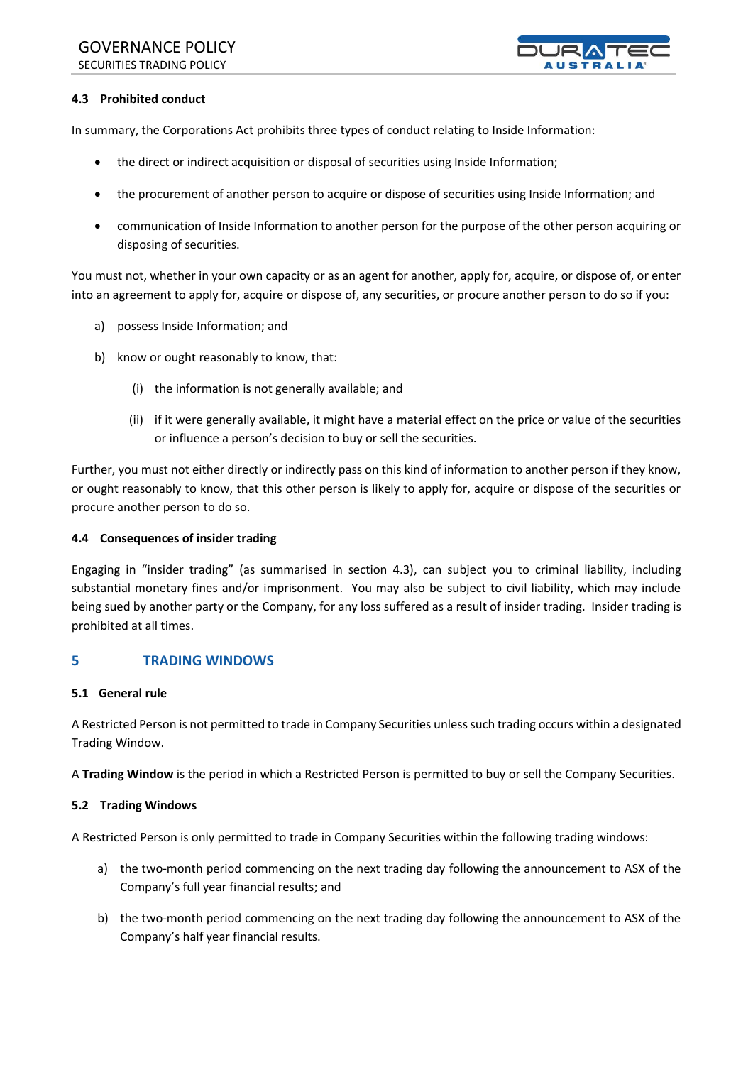## GOVERNANCE POLICY

SECURITIES TRADING POLICY



#### **4.3 Prohibited conduct**

In summary, the Corporations Act prohibits three types of conduct relating to Inside Information:

- the direct or indirect acquisition or disposal of securities using Inside Information;
- the procurement of another person to acquire or dispose of securities using Inside Information; and
- communication of Inside Information to another person for the purpose of the other person acquiring or disposing of securities.

You must not, whether in your own capacity or as an agent for another, apply for, acquire, or dispose of, or enter into an agreement to apply for, acquire or dispose of, any securities, or procure another person to do so if you:

- a) possess Inside Information; and
- b) know or ought reasonably to know, that:
	- (i) the information is not generally available; and
	- (ii) if it were generally available, it might have a material effect on the price or value of the securities or influence a person's decision to buy or sell the securities.

Further, you must not either directly or indirectly pass on this kind of information to another person if they know, or ought reasonably to know, that this other person is likely to apply for, acquire or dispose of the securities or procure another person to do so.

#### **4.4 Consequences of insider trading**

Engaging in "insider trading" (as summarised in section 4.3), can subject you to criminal liability, including substantial monetary fines and/or imprisonment. You may also be subject to civil liability, which may include being sued by another party or the Company, for any loss suffered as a result of insider trading. Insider trading is prohibited at all times.

#### **5 TRADING WINDOWS**

#### **5.1 General rule**

A Restricted Person is not permitted to trade in Company Securities unless such trading occurs within a designated Trading Window.

A **Trading Window** is the period in which a Restricted Person is permitted to buy or sell the Company Securities.

#### **5.2 Trading Windows**

A Restricted Person is only permitted to trade in Company Securities within the following trading windows:

- a) the two-month period commencing on the next trading day following the announcement to ASX of the Company's full year financial results; and
- b) the two-month period commencing on the next trading day following the announcement to ASX of the Company's half year financial results.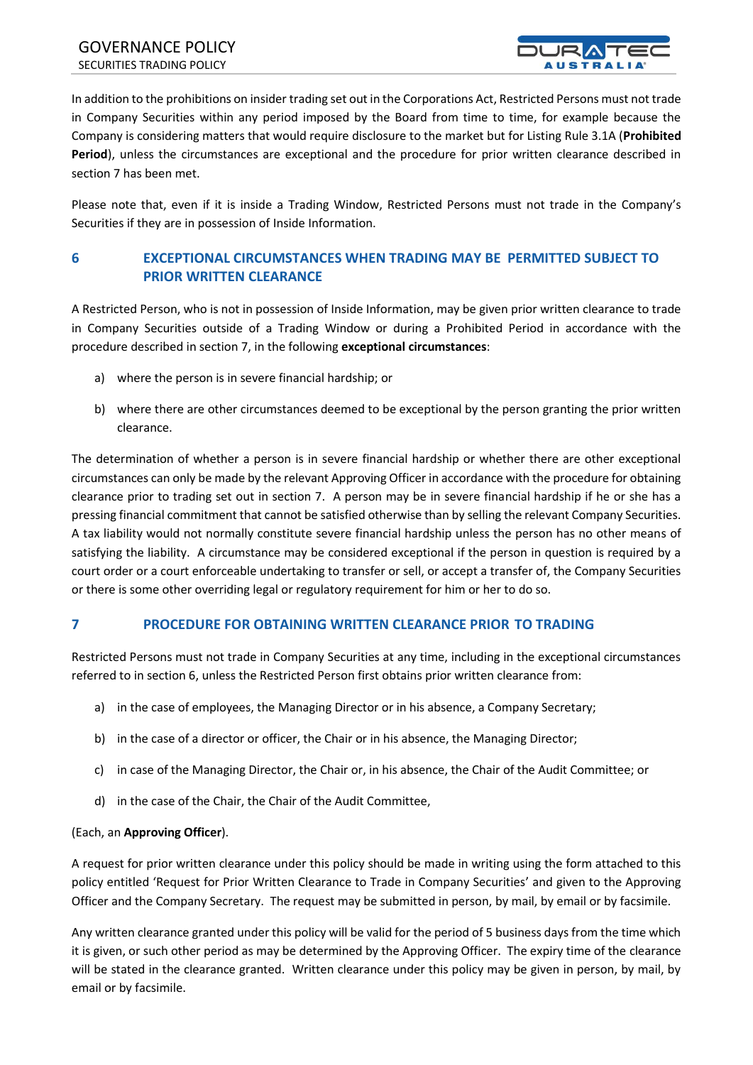

In addition to the prohibitions on insider trading set out in the Corporations Act, Restricted Persons must not trade in Company Securities within any period imposed by the Board from time to time, for example because the Company is considering matters that would require disclosure to the market but for Listing Rule 3.1A (**Prohibited Period**), unless the circumstances are exceptional and the procedure for prior written clearance described in section 7 has been met.

Please note that, even if it is inside a Trading Window, Restricted Persons must not trade in the Company's Securities if they are in possession of Inside Information.

#### **6 EXCEPTIONAL CIRCUMSTANCES WHEN TRADING MAY BE PERMITTED SUBJECT TO PRIOR WRITTEN CLEARANCE**

A Restricted Person, who is not in possession of Inside Information, may be given prior written clearance to trade in Company Securities outside of a Trading Window or during a Prohibited Period in accordance with the procedure described in section 7, in the following **exceptional circumstances**:

- a) where the person is in severe financial hardship; or
- b) where there are other circumstances deemed to be exceptional by the person granting the prior written clearance.

The determination of whether a person is in severe financial hardship or whether there are other exceptional circumstances can only be made by the relevant Approving Officer in accordance with the procedure for obtaining clearance prior to trading set out in section 7. A person may be in severe financial hardship if he or she has a pressing financial commitment that cannot be satisfied otherwise than by selling the relevant Company Securities. A tax liability would not normally constitute severe financial hardship unless the person has no other means of satisfying the liability. A circumstance may be considered exceptional if the person in question is required by a court order or a court enforceable undertaking to transfer or sell, or accept a transfer of, the Company Securities or there is some other overriding legal or regulatory requirement for him or her to do so.

#### **7 PROCEDURE FOR OBTAINING WRITTEN CLEARANCE PRIOR TO TRADING**

Restricted Persons must not trade in Company Securities at any time, including in the exceptional circumstances referred to in section 6, unless the Restricted Person first obtains prior written clearance from:

- a) in the case of employees, the Managing Director or in his absence, a Company Secretary;
- b) in the case of a director or officer, the Chair or in his absence, the Managing Director;
- c) in case of the Managing Director, the Chair or, in his absence, the Chair of the Audit Committee; or
- d) in the case of the Chair, the Chair of the Audit Committee,

#### (Each, an **Approving Officer**).

A request for prior written clearance under this policy should be made in writing using the form attached to this policy entitled 'Request for Prior Written Clearance to Trade in Company Securities' and given to the Approving Officer and the Company Secretary. The request may be submitted in person, by mail, by email or by facsimile.

Any written clearance granted under this policy will be valid for the period of 5 business days from the time which it is given, or such other period as may be determined by the Approving Officer. The expiry time of the clearance will be stated in the clearance granted. Written clearance under this policy may be given in person, by mail, by email or by facsimile.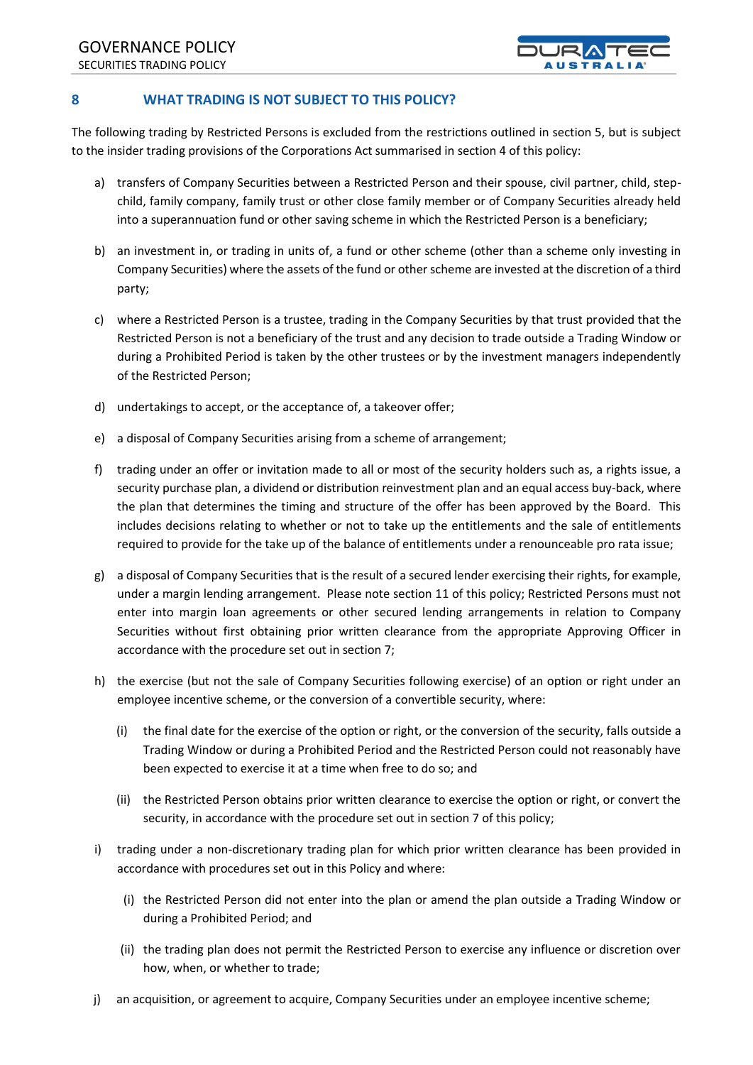

#### **8 WHAT TRADING IS NOT SUBJECT TO THIS POLICY?**

The following trading by Restricted Persons is excluded from the restrictions outlined in section 5, but is subject to the insider trading provisions of the Corporations Act summarised in section 4 of this policy:

- a) transfers of Company Securities between a Restricted Person and their spouse, civil partner, child, stepchild, family company, family trust or other close family member or of Company Securities already held into a superannuation fund or other saving scheme in which the Restricted Person is a beneficiary;
- b) an investment in, or trading in units of, a fund or other scheme (other than a scheme only investing in Company Securities) where the assets of the fund or other scheme are invested at the discretion of a third party;
- c) where a Restricted Person is a trustee, trading in the Company Securities by that trust provided that the Restricted Person is not a beneficiary of the trust and any decision to trade outside a Trading Window or during a Prohibited Period is taken by the other trustees or by the investment managers independently of the Restricted Person;
- d) undertakings to accept, or the acceptance of, a takeover offer;
- e) a disposal of Company Securities arising from a scheme of arrangement;
- f) trading under an offer or invitation made to all or most of the security holders such as, a rights issue, a security purchase plan, a dividend or distribution reinvestment plan and an equal access buy-back, where the plan that determines the timing and structure of the offer has been approved by the Board. This includes decisions relating to whether or not to take up the entitlements and the sale of entitlements required to provide for the take up of the balance of entitlements under a renounceable pro rata issue;
- g) a disposal of Company Securities that is the result of a secured lender exercising their rights, for example, under a margin lending arrangement. Please note section 11 of this policy; Restricted Persons must not enter into margin loan agreements or other secured lending arrangements in relation to Company Securities without first obtaining prior written clearance from the appropriate Approving Officer in accordance with the procedure set out in section 7;
- h) the exercise (but not the sale of Company Securities following exercise) of an option or right under an employee incentive scheme, or the conversion of a convertible security, where:
	- (i) the final date for the exercise of the option or right, or the conversion of the security, falls outside a Trading Window or during a Prohibited Period and the Restricted Person could not reasonably have been expected to exercise it at a time when free to do so; and
	- (ii) the Restricted Person obtains prior written clearance to exercise the option or right, or convert the security, in accordance with the procedure set out in section 7 of this policy;
- i) trading under a non-discretionary trading plan for which prior written clearance has been provided in accordance with procedures set out in this Policy and where:
	- (i) the Restricted Person did not enter into the plan or amend the plan outside a Trading Window or during a Prohibited Period; and
	- (ii) the trading plan does not permit the Restricted Person to exercise any influence or discretion over how, when, or whether to trade;
- j) an acquisition, or agreement to acquire, Company Securities under an employee incentive scheme;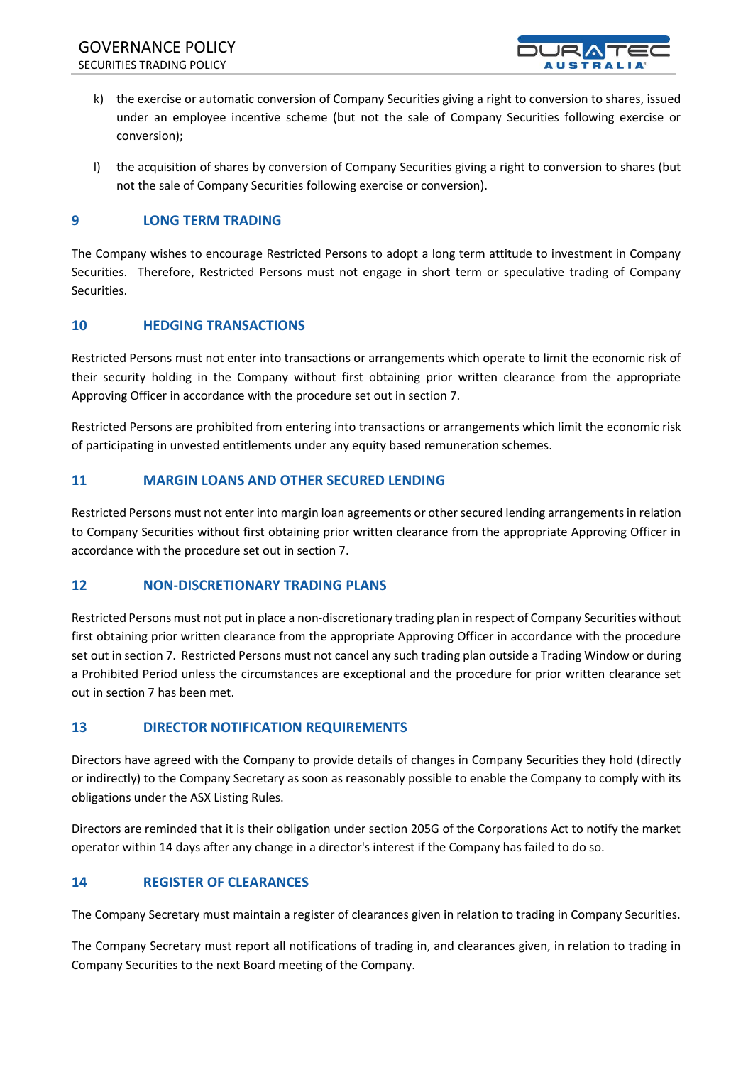

- k) the exercise or automatic conversion of Company Securities giving a right to conversion to shares, issued under an employee incentive scheme (but not the sale of Company Securities following exercise or conversion);
- l) the acquisition of shares by conversion of Company Securities giving a right to conversion to shares (but not the sale of Company Securities following exercise or conversion).

#### **9 LONG TERM TRADING**

The Company wishes to encourage Restricted Persons to adopt a long term attitude to investment in Company Securities. Therefore, Restricted Persons must not engage in short term or speculative trading of Company Securities.

#### **10 HEDGING TRANSACTIONS**

Restricted Persons must not enter into transactions or arrangements which operate to limit the economic risk of their security holding in the Company without first obtaining prior written clearance from the appropriate Approving Officer in accordance with the procedure set out in section 7.

Restricted Persons are prohibited from entering into transactions or arrangements which limit the economic risk of participating in unvested entitlements under any equity based remuneration schemes.

#### **11 MARGIN LOANS AND OTHER SECURED LENDING**

Restricted Persons must not enter into margin loan agreements or other secured lending arrangements in relation to Company Securities without first obtaining prior written clearance from the appropriate Approving Officer in accordance with the procedure set out in section 7.

#### **12 NON-DISCRETIONARY TRADING PLANS**

Restricted Persons must not put in place a non-discretionary trading plan in respect of Company Securities without first obtaining prior written clearance from the appropriate Approving Officer in accordance with the procedure set out in section 7. Restricted Persons must not cancel any such trading plan outside a Trading Window or during a Prohibited Period unless the circumstances are exceptional and the procedure for prior written clearance set out in section 7 has been met.

#### **13 DIRECTOR NOTIFICATION REQUIREMENTS**

Directors have agreed with the Company to provide details of changes in Company Securities they hold (directly or indirectly) to the Company Secretary as soon as reasonably possible to enable the Company to comply with its obligations under the ASX Listing Rules.

Directors are reminded that it is their obligation under section 205G of the Corporations Act to notify the market operator within 14 days after any change in a director's interest if the Company has failed to do so.

#### **14 REGISTER OF CLEARANCES**

The Company Secretary must maintain a register of clearances given in relation to trading in Company Securities.

The Company Secretary must report all notifications of trading in, and clearances given, in relation to trading in Company Securities to the next Board meeting of the Company.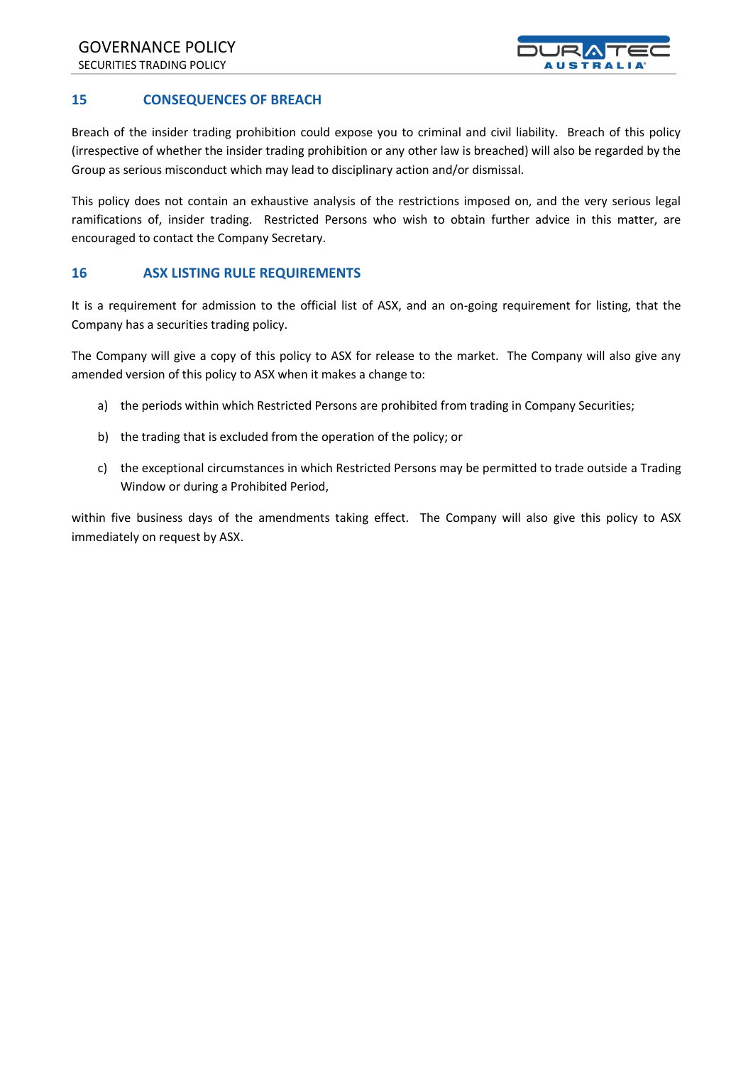

#### **15 CONSEQUENCES OF BREACH**

Breach of the insider trading prohibition could expose you to criminal and civil liability. Breach of this policy (irrespective of whether the insider trading prohibition or any other law is breached) will also be regarded by the Group as serious misconduct which may lead to disciplinary action and/or dismissal.

This policy does not contain an exhaustive analysis of the restrictions imposed on, and the very serious legal ramifications of, insider trading. Restricted Persons who wish to obtain further advice in this matter, are encouraged to contact the Company Secretary.

#### **16 ASX LISTING RULE REQUIREMENTS**

It is a requirement for admission to the official list of ASX, and an on-going requirement for listing, that the Company has a securities trading policy.

The Company will give a copy of this policy to ASX for release to the market. The Company will also give any amended version of this policy to ASX when it makes a change to:

- a) the periods within which Restricted Persons are prohibited from trading in Company Securities;
- b) the trading that is excluded from the operation of the policy; or
- c) the exceptional circumstances in which Restricted Persons may be permitted to trade outside a Trading Window or during a Prohibited Period,

within five business days of the amendments taking effect. The Company will also give this policy to ASX immediately on request by ASX.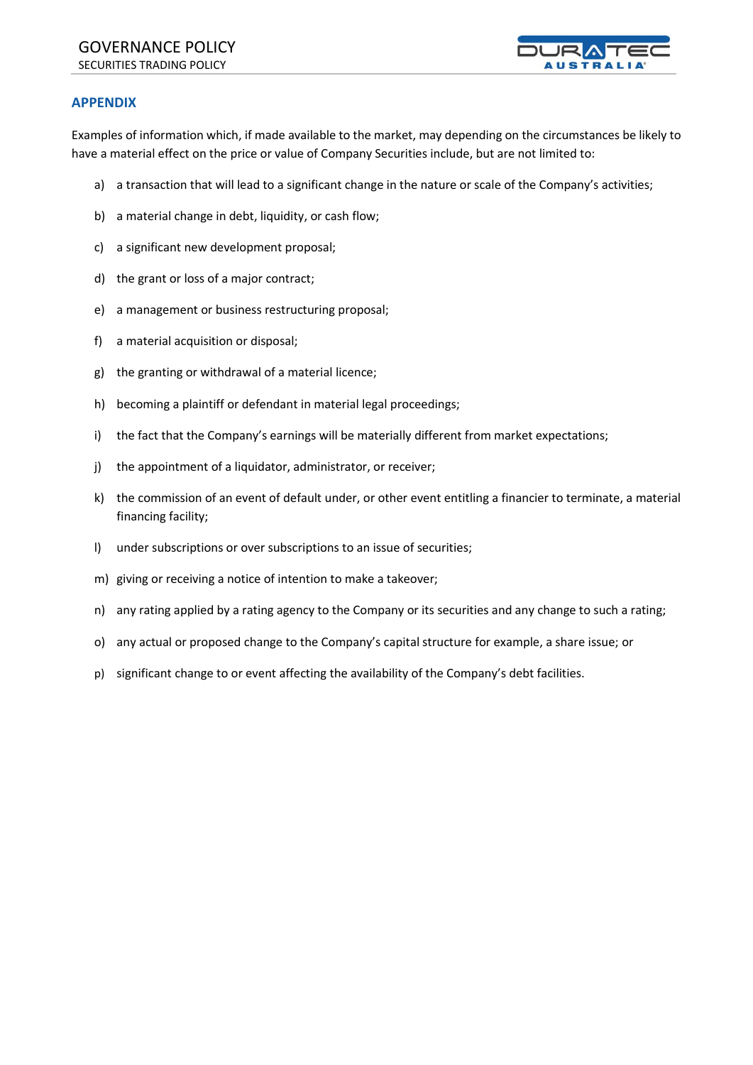

#### **APPENDIX**

Examples of information which, if made available to the market, may depending on the circumstances be likely to have a material effect on the price or value of Company Securities include, but are not limited to:

- a) a transaction that will lead to a significant change in the nature or scale of the Company's activities;
- b) a material change in debt, liquidity, or cash flow;
- c) a significant new development proposal;
- d) the grant or loss of a major contract;
- e) a management or business restructuring proposal;
- f) a material acquisition or disposal;
- g) the granting or withdrawal of a material licence;
- h) becoming a plaintiff or defendant in material legal proceedings;
- i) the fact that the Company's earnings will be materially different from market expectations;
- j) the appointment of a liquidator, administrator, or receiver;
- k) the commission of an event of default under, or other event entitling a financier to terminate, a material financing facility;
- l) under subscriptions or over subscriptions to an issue of securities;
- m) giving or receiving a notice of intention to make a takeover;
- n) any rating applied by a rating agency to the Company or its securities and any change to such a rating;
- o) any actual or proposed change to the Company's capital structure for example, a share issue; or
- p) significant change to or event affecting the availability of the Company's debt facilities.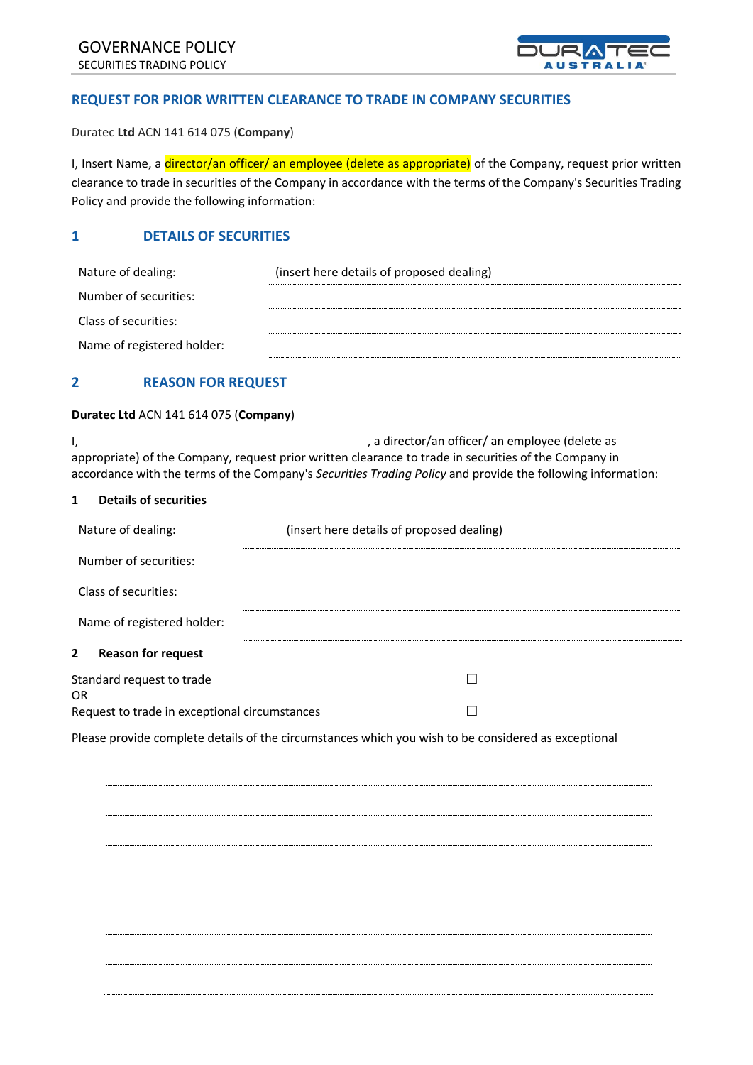

#### **REQUEST FOR PRIOR WRITTEN CLEARANCE TO TRADE IN COMPANY SECURITIES**

Duratec **Ltd** ACN 141 614 075 (**Company**)

I, Insert Name, a *director/an officer/* an employee (delete as appropriate) of the Company, request prior written clearance to trade in securities of the Company in accordance with the terms of the Company's Securities Trading Policy and provide the following information:

#### **1 DETAILS OF SECURITIES**

| Nature of dealing:         | (insert here details of proposed dealing) |  |
|----------------------------|-------------------------------------------|--|
| Number of securities:      |                                           |  |
| Class of securities:       |                                           |  |
| Name of registered holder: |                                           |  |

#### **2 REASON FOR REQUEST**

#### **Duratec Ltd** ACN 141 614 075 (**Company**)

I, the same of the contract of the contract of the contract of the contract of the contract of the contract of the contract of the contract of the contract of the contract of the contract of the contract of the contract of appropriate) of the Company, request prior written clearance to trade in securities of the Company in accordance with the terms of the Company's *Securities Trading Policy* and provide the following information:

#### **1 Details of securities**

| Nature of dealing:                            | (insert here details of proposed dealing) |  |
|-----------------------------------------------|-------------------------------------------|--|
| Number of securities:                         |                                           |  |
| Class of securities:                          |                                           |  |
| Name of registered holder:                    |                                           |  |
| $\mathbf{2}$<br><b>Reason for request</b>     |                                           |  |
| Standard request to trade<br>OR               |                                           |  |
| Request to trade in exceptional circumstances |                                           |  |

Please provide complete details of the circumstances which you wish to be considered as exceptional